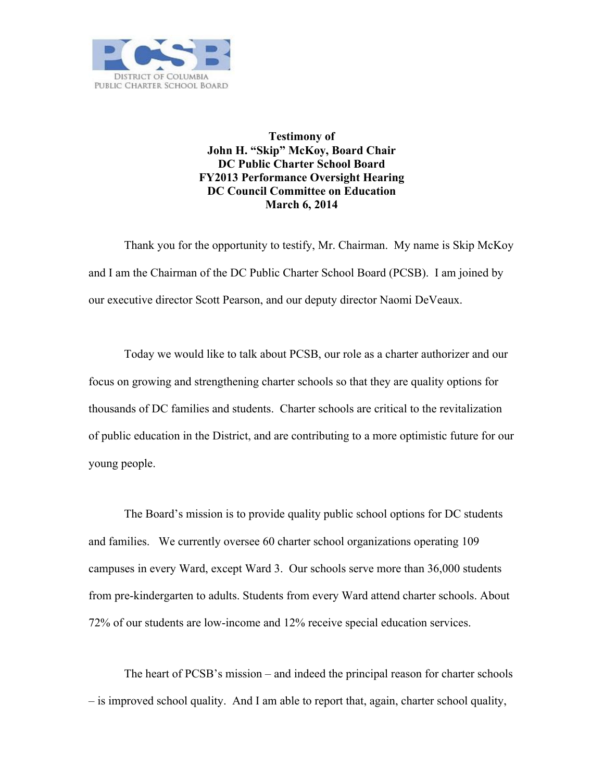

**Testimony of John H. "Skip" McKoy, Board Chair DC Public Charter School Board FY2013 Performance Oversight Hearing DC Council Committee on Education March 6, 2014**

Thank you for the opportunity to testify, Mr. Chairman. My name is Skip McKoy and I am the Chairman of the DC Public Charter School Board (PCSB). I am joined by our executive director Scott Pearson, and our deputy director Naomi DeVeaux.

Today we would like to talk about PCSB, our role as a charter authorizer and our focus on growing and strengthening charter schools so that they are quality options for thousands of DC families and students. Charter schools are critical to the revitalization of public education in the District, and are contributing to a more optimistic future for our young people.

The Board's mission is to provide quality public school options for DC students and families. We currently oversee 60 charter school organizations operating 109 campuses in every Ward, except Ward 3. Our schools serve more than 36,000 students from pre-kindergarten to adults. Students from every Ward attend charter schools. About 72% of our students are low-income and 12% receive special education services.

The heart of PCSB's mission – and indeed the principal reason for charter schools – is improved school quality. And I am able to report that, again, charter school quality,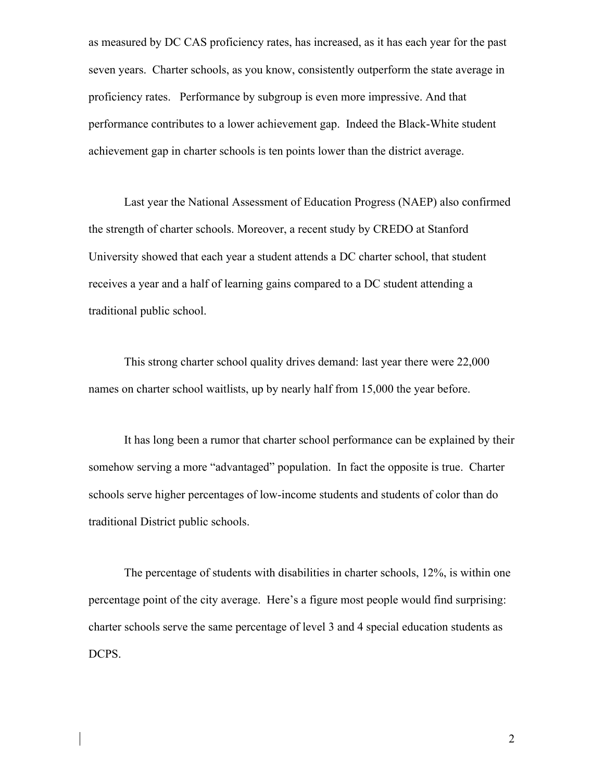as measured by DC CAS proficiency rates, has increased, as it has each year for the past seven years. Charter schools, as you know, consistently outperform the state average in proficiency rates. Performance by subgroup is even more impressive. And that performance contributes to a lower achievement gap. Indeed the Black-White student achievement gap in charter schools is ten points lower than the district average.

Last year the National Assessment of Education Progress (NAEP) also confirmed the strength of charter schools. Moreover, a recent study by CREDO at Stanford University showed that each year a student attends a DC charter school, that student receives a year and a half of learning gains compared to a DC student attending a traditional public school.

This strong charter school quality drives demand: last year there were 22,000 names on charter school waitlists, up by nearly half from 15,000 the year before.

It has long been a rumor that charter school performance can be explained by their somehow serving a more "advantaged" population. In fact the opposite is true. Charter schools serve higher percentages of low-income students and students of color than do traditional District public schools.

The percentage of students with disabilities in charter schools, 12%, is within one percentage point of the city average. Here's a figure most people would find surprising: charter schools serve the same percentage of level 3 and 4 special education students as DCPS.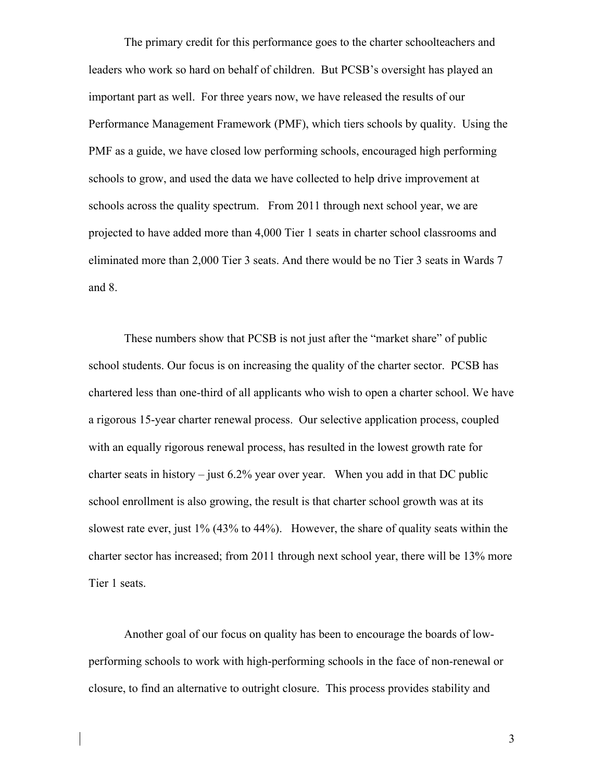The primary credit for this performance goes to the charter schoolteachers and leaders who work so hard on behalf of children. But PCSB's oversight has played an important part as well. For three years now, we have released the results of our Performance Management Framework (PMF), which tiers schools by quality. Using the PMF as a guide, we have closed low performing schools, encouraged high performing schools to grow, and used the data we have collected to help drive improvement at schools across the quality spectrum. From 2011 through next school year, we are projected to have added more than 4,000 Tier 1 seats in charter school classrooms and eliminated more than 2,000 Tier 3 seats. And there would be no Tier 3 seats in Wards 7 and 8.

These numbers show that PCSB is not just after the "market share" of public school students. Our focus is on increasing the quality of the charter sector. PCSB has chartered less than one-third of all applicants who wish to open a charter school. We have a rigorous 15-year charter renewal process. Our selective application process, coupled with an equally rigorous renewal process, has resulted in the lowest growth rate for charter seats in history – just  $6.2\%$  year over year. When you add in that DC public school enrollment is also growing, the result is that charter school growth was at its slowest rate ever, just 1% (43% to 44%). However, the share of quality seats within the charter sector has increased; from 2011 through next school year, there will be 13% more Tier 1 seats.

Another goal of our focus on quality has been to encourage the boards of lowperforming schools to work with high-performing schools in the face of non-renewal or closure, to find an alternative to outright closure. This process provides stability and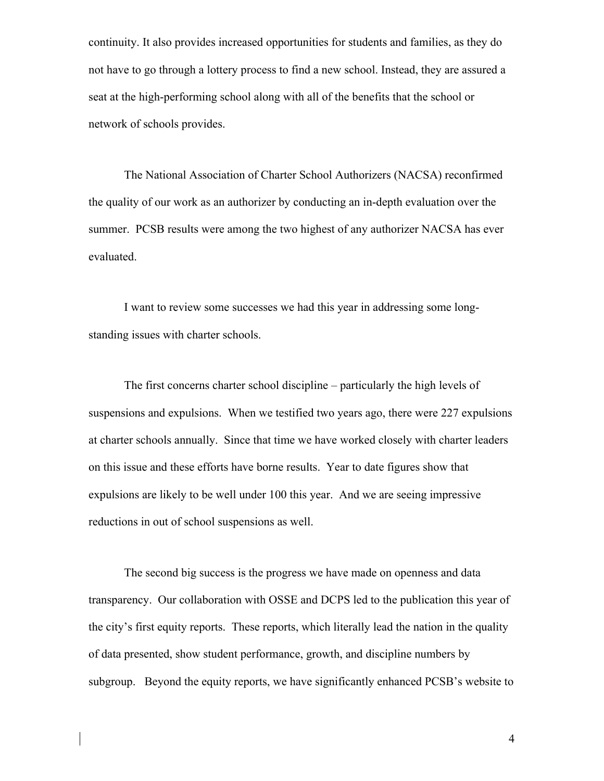continuity. It also provides increased opportunities for students and families, as they do not have to go through a lottery process to find a new school. Instead, they are assured a seat at the high-performing school along with all of the benefits that the school or network of schools provides.

The National Association of Charter School Authorizers (NACSA) reconfirmed the quality of our work as an authorizer by conducting an in-depth evaluation over the summer. PCSB results were among the two highest of any authorizer NACSA has ever evaluated.

I want to review some successes we had this year in addressing some longstanding issues with charter schools.

The first concerns charter school discipline – particularly the high levels of suspensions and expulsions. When we testified two years ago, there were 227 expulsions at charter schools annually. Since that time we have worked closely with charter leaders on this issue and these efforts have borne results. Year to date figures show that expulsions are likely to be well under 100 this year. And we are seeing impressive reductions in out of school suspensions as well.

The second big success is the progress we have made on openness and data transparency. Our collaboration with OSSE and DCPS led to the publication this year of the city's first equity reports. These reports, which literally lead the nation in the quality of data presented, show student performance, growth, and discipline numbers by subgroup. Beyond the equity reports, we have significantly enhanced PCSB's website to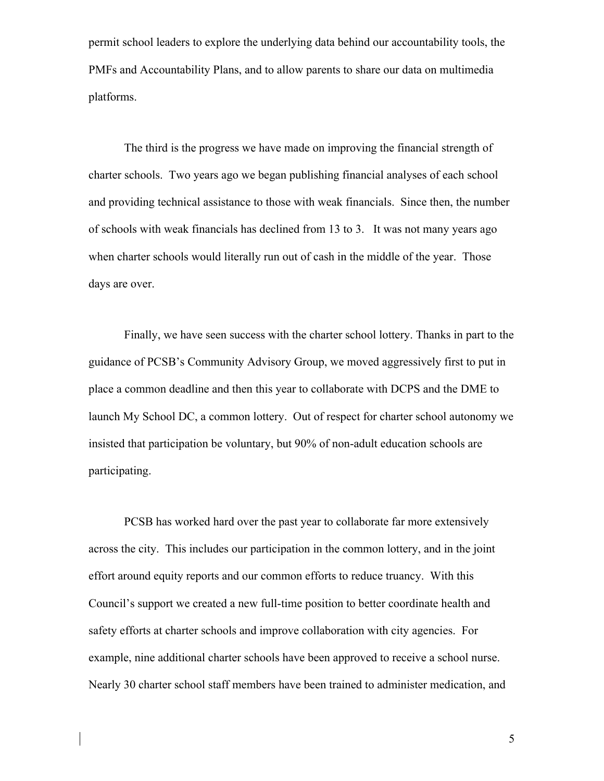permit school leaders to explore the underlying data behind our accountability tools, the PMFs and Accountability Plans, and to allow parents to share our data on multimedia platforms.

The third is the progress we have made on improving the financial strength of charter schools. Two years ago we began publishing financial analyses of each school and providing technical assistance to those with weak financials. Since then, the number of schools with weak financials has declined from 13 to 3. It was not many years ago when charter schools would literally run out of cash in the middle of the year. Those days are over.

Finally, we have seen success with the charter school lottery. Thanks in part to the guidance of PCSB's Community Advisory Group, we moved aggressively first to put in place a common deadline and then this year to collaborate with DCPS and the DME to launch My School DC, a common lottery. Out of respect for charter school autonomy we insisted that participation be voluntary, but 90% of non-adult education schools are participating.

PCSB has worked hard over the past year to collaborate far more extensively across the city. This includes our participation in the common lottery, and in the joint effort around equity reports and our common efforts to reduce truancy. With this Council's support we created a new full-time position to better coordinate health and safety efforts at charter schools and improve collaboration with city agencies. For example, nine additional charter schools have been approved to receive a school nurse. Nearly 30 charter school staff members have been trained to administer medication, and